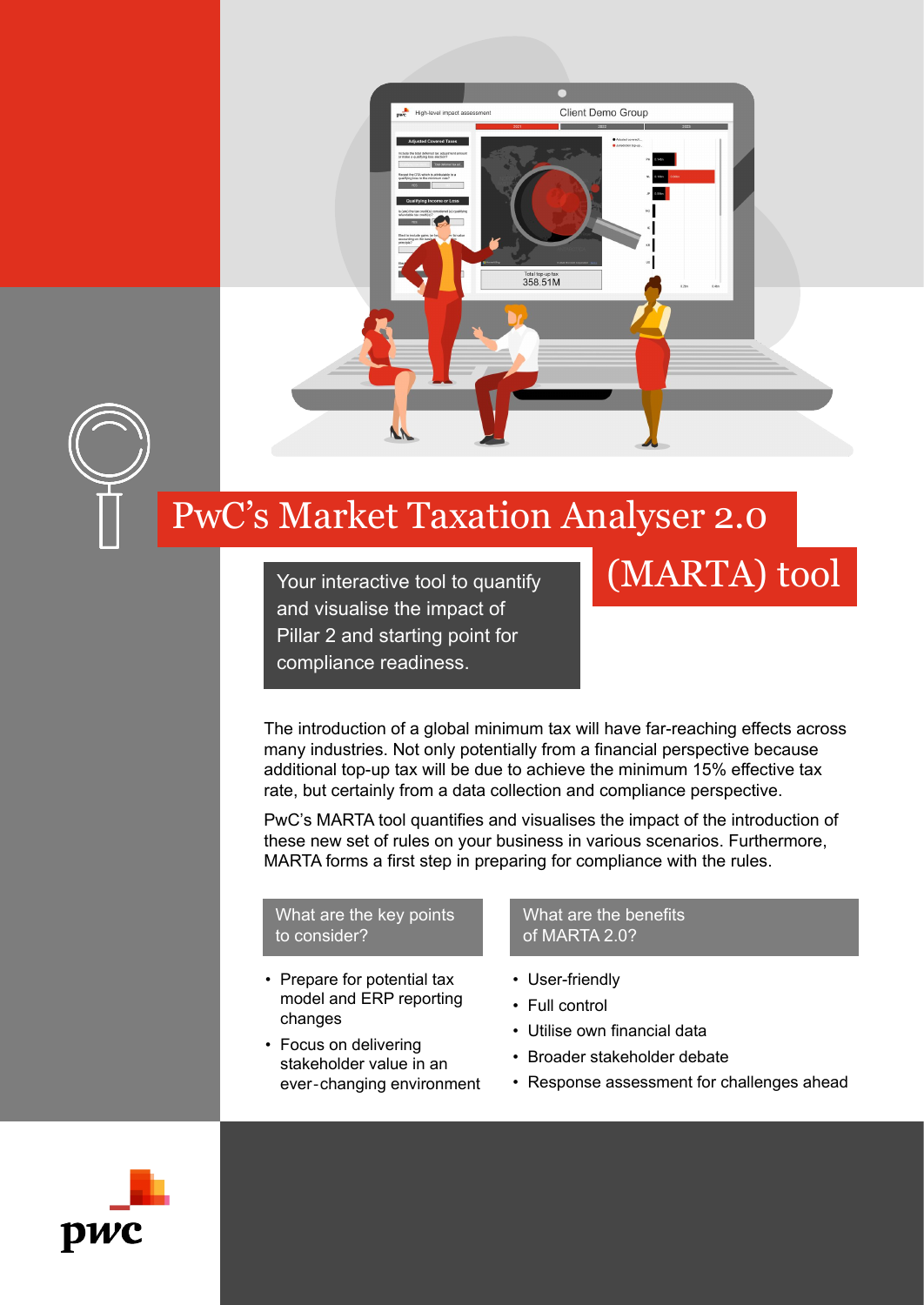

Total top-up tax<br>358.51M

Client Demo Group

# PwC's Market Taxation Analyser 2.0

Your interactive tool to quantify and visualise the impact of Pillar 2 and starting point for compliance readiness.

The introduction of a global minimum tax will have far-reaching effects across many industries. Not only potentially from a financial perspective because additional top-up tax will be due to achieve the minimum 15% effective tax rate, but certainly from a data collection and compliance perspective.

PwC's MARTA tool quantifies and visualises the impact of the introduction of these new set of rules on your business in various scenarios. Furthermore, MARTA forms a first step in preparing for compliance with the rules.

#### What are the key points to consider?

- Prepare for potential tax model and ERP reporting changes
- Focus on delivering stakeholder value in an ever‐changing environment

#### What are the benefits of MARTA 2.0?

- User-friendly
- Full control
- Utilise own financial data
- Broader stakeholder debate
- Response assessment for challenges ahead

(MARTA) tool